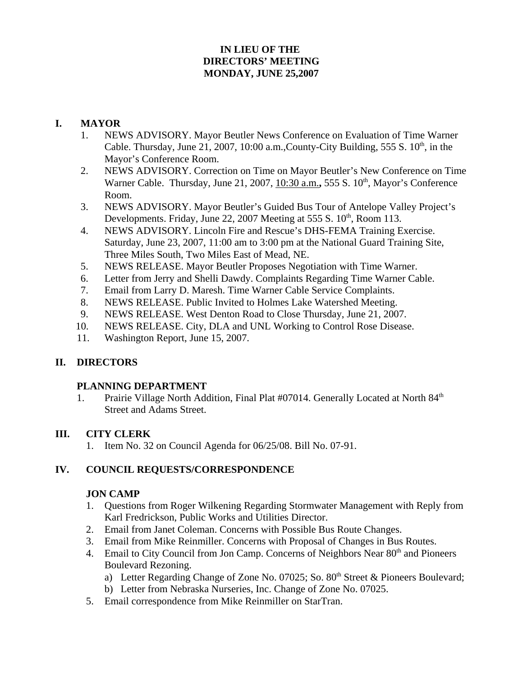# **IN LIEU OF THE DIRECTORS' MEETING MONDAY, JUNE 25,2007**

### **I. MAYOR**

- 1. NEWS ADVISORY. Mayor Beutler News Conference on Evaluation of Time Warner Cable. Thursday, June 21, 2007, 10:00 a.m., County-City Building, 555 S.  $10<sup>th</sup>$ , in the Mayor's Conference Room.
- 2. NEWS ADVISORY. Correction on Time on Mayor Beutler's New Conference on Time Warner Cable. Thursday, June 21, 2007, 10:30 a.m., 555 S. 10<sup>th</sup>, Mayor's Conference Room.
- 3. NEWS ADVISORY. Mayor Beutler's Guided Bus Tour of Antelope Valley Project's Developments. Friday, June 22, 2007 Meeting at 555 S.  $10^{th}$ , Room 113.
- 4. NEWS ADVISORY. Lincoln Fire and Rescue's DHS-FEMA Training Exercise. Saturday, June 23, 2007, 11:00 am to 3:00 pm at the National Guard Training Site, Three Miles South, Two Miles East of Mead, NE.
- 5. NEWS RELEASE. Mayor Beutler Proposes Negotiation with Time Warner.
- 6. Letter from Jerry and Shelli Dawdy. Complaints Regarding Time Warner Cable.
- 7. Email from Larry D. Maresh. Time Warner Cable Service Complaints.
- 8. NEWS RELEASE. Public Invited to Holmes Lake Watershed Meeting.
- 9. NEWS RELEASE. West Denton Road to Close Thursday, June 21, 2007.
- 10. NEWS RELEASE. City, DLA and UNL Working to Control Rose Disease.
- 11. Washington Report, June 15, 2007.

# **II. DIRECTORS**

#### **PLANNING DEPARTMENT**

1. Prairie Village North Addition, Final Plat #07014. Generally Located at North 84<sup>th</sup> Street and Adams Street.

# **III. CITY CLERK**

1. Item No. 32 on Council Agenda for 06/25/08. Bill No. 07-91.

# **IV. COUNCIL REQUESTS/CORRESPONDENCE**

#### **JON CAMP**

- 1. Questions from Roger Wilkening Regarding Stormwater Management with Reply from Karl Fredrickson, Public Works and Utilities Director.
- 2. Email from Janet Coleman. Concerns with Possible Bus Route Changes.
- 3. Email from Mike Reinmiller. Concerns with Proposal of Changes in Bus Routes.
- 4. Email to City Council from Jon Camp. Concerns of Neighbors Near 80<sup>th</sup> and Pioneers Boulevard Rezoning.
	- a) Letter Regarding Change of Zone No. 07025; So.  $80<sup>th</sup>$  Street & Pioneers Boulevard;
	- b) Letter from Nebraska Nurseries, Inc. Change of Zone No. 07025.
- 5. Email correspondence from Mike Reinmiller on StarTran.